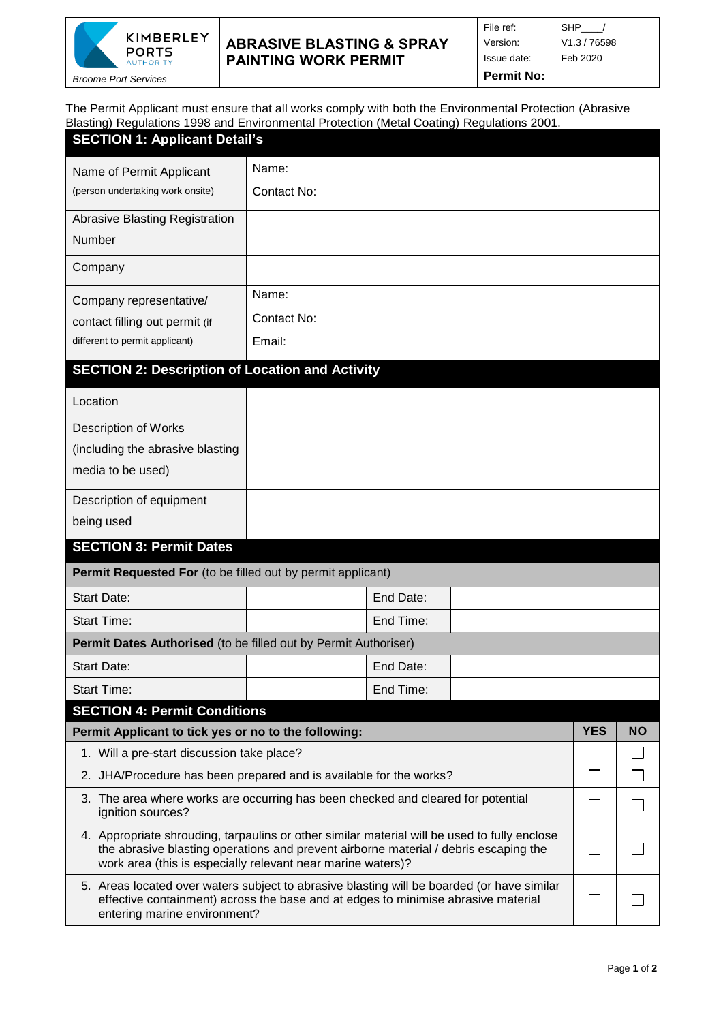

## **ABRASIVE BLASTING & SPRAY PAINTING WORK PERMIT**

*Broome Port Services*

File ref: SHP\_\_\_\_/

Version: V1.3 / 76598 Issue date: Feb 2020

**Permit No:**

The Permit Applicant must ensure that all works comply with both the Environmental Protection (Abrasive Blasting) Regulations 1998 and Environmental Protection (Metal Coating) Regulations 2001.

| 191.19<br><b>SECTION 1: Applicant Detail's</b>                                                                                                                                                                                                      |             |            |           |  |  |  |  |  |  |
|-----------------------------------------------------------------------------------------------------------------------------------------------------------------------------------------------------------------------------------------------------|-------------|------------|-----------|--|--|--|--|--|--|
| Name of Permit Applicant                                                                                                                                                                                                                            | Name:       |            |           |  |  |  |  |  |  |
| (person undertaking work onsite)                                                                                                                                                                                                                    | Contact No: |            |           |  |  |  |  |  |  |
| <b>Abrasive Blasting Registration</b>                                                                                                                                                                                                               |             |            |           |  |  |  |  |  |  |
| Number                                                                                                                                                                                                                                              |             |            |           |  |  |  |  |  |  |
| Company                                                                                                                                                                                                                                             |             |            |           |  |  |  |  |  |  |
| Company representative/                                                                                                                                                                                                                             | Name:       |            |           |  |  |  |  |  |  |
| contact filling out permit (if                                                                                                                                                                                                                      | Contact No: |            |           |  |  |  |  |  |  |
| different to permit applicant)                                                                                                                                                                                                                      | Email:      |            |           |  |  |  |  |  |  |
| <b>SECTION 2: Description of Location and Activity</b>                                                                                                                                                                                              |             |            |           |  |  |  |  |  |  |
| Location                                                                                                                                                                                                                                            |             |            |           |  |  |  |  |  |  |
| <b>Description of Works</b>                                                                                                                                                                                                                         |             |            |           |  |  |  |  |  |  |
| (including the abrasive blasting                                                                                                                                                                                                                    |             |            |           |  |  |  |  |  |  |
| media to be used)                                                                                                                                                                                                                                   |             |            |           |  |  |  |  |  |  |
| Description of equipment                                                                                                                                                                                                                            |             |            |           |  |  |  |  |  |  |
| being used                                                                                                                                                                                                                                          |             |            |           |  |  |  |  |  |  |
| <b>SECTION 3: Permit Dates</b>                                                                                                                                                                                                                      |             |            |           |  |  |  |  |  |  |
| Permit Requested For (to be filled out by permit applicant)                                                                                                                                                                                         |             |            |           |  |  |  |  |  |  |
| <b>Start Date:</b>                                                                                                                                                                                                                                  | End Date:   |            |           |  |  |  |  |  |  |
| <b>Start Time:</b>                                                                                                                                                                                                                                  | End Time:   |            |           |  |  |  |  |  |  |
| Permit Dates Authorised (to be filled out by Permit Authoriser)                                                                                                                                                                                     |             |            |           |  |  |  |  |  |  |
| Start Date:                                                                                                                                                                                                                                         | End Date:   |            |           |  |  |  |  |  |  |
| <b>Start Time:</b>                                                                                                                                                                                                                                  | End Time:   |            |           |  |  |  |  |  |  |
| <b>SECTION 4: Permit Conditions</b>                                                                                                                                                                                                                 |             | <b>YES</b> | <b>NO</b> |  |  |  |  |  |  |
| Permit Applicant to tick yes or no to the following:<br>1. Will a pre-start discussion take place?                                                                                                                                                  |             |            |           |  |  |  |  |  |  |
| 2. JHA/Procedure has been prepared and is available for the works?                                                                                                                                                                                  |             |            |           |  |  |  |  |  |  |
| 3. The area where works are occurring has been checked and cleared for potential                                                                                                                                                                    |             |            |           |  |  |  |  |  |  |
| ignition sources?                                                                                                                                                                                                                                   |             |            |           |  |  |  |  |  |  |
| 4. Appropriate shrouding, tarpaulins or other similar material will be used to fully enclose<br>the abrasive blasting operations and prevent airborne material / debris escaping the<br>work area (this is especially relevant near marine waters)? |             |            |           |  |  |  |  |  |  |
| 5. Areas located over waters subject to abrasive blasting will be boarded (or have similar<br>effective containment) across the base and at edges to minimise abrasive material<br>entering marine environment?                                     |             |            |           |  |  |  |  |  |  |